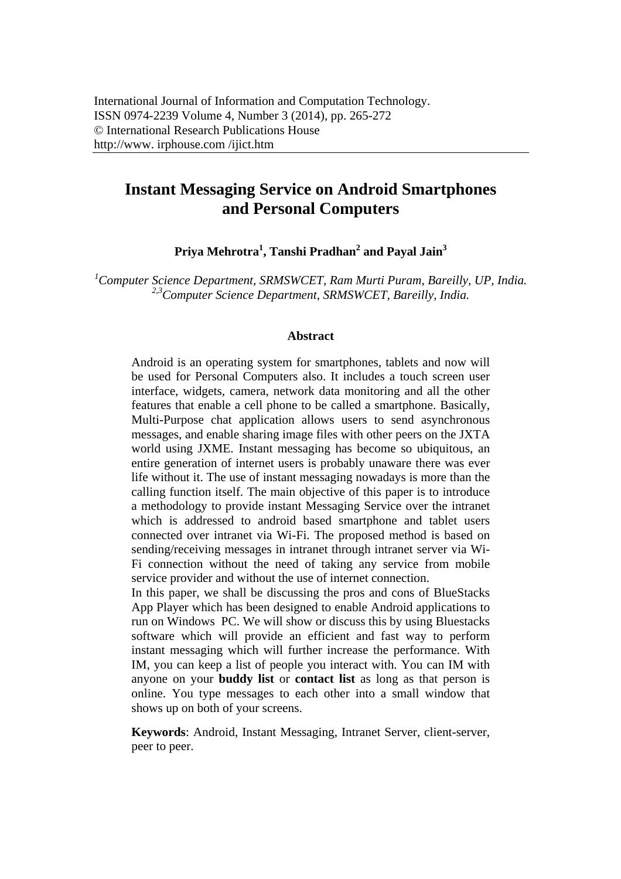# **Instant Messaging Service on Android Smartphones and Personal Computers**

**Priya Mehrotra1 , Tanshi Pradhan2 and Payal Jain<sup>3</sup>**

<sup>1</sup> Computer Science Department, SRMSWCET, Ram Murti Puram, Bareilly, UP, India. *2,3Computer Science Department, SRMSWCET, Bareilly, India.* 

#### **Abstract**

Android is an operating system for smartphones, tablets and now will be used for Personal Computers also. It includes a touch screen user interface, widgets, camera, network data monitoring and all the other features that enable a cell phone to be called a smartphone. Basically, Multi-Purpose chat application allows users to send asynchronous messages, and enable sharing image files with other peers on the JXTA world using JXME. Instant messaging has become so ubiquitous, an entire generation of internet users is probably unaware there was ever life without it. The use of instant messaging nowadays is more than the calling function itself. The main objective of this paper is to introduce a methodology to provide instant Messaging Service over the intranet which is addressed to android based smartphone and tablet users connected over intranet via Wi-Fi. The proposed method is based on sending/receiving messages in intranet through intranet server via Wi-Fi connection without the need of taking any service from mobile service provider and without the use of internet connection.

In this paper, we shall be discussing the pros and cons of BlueStacks App Player which has been designed to enable Android applications to run on Windows PC. We will show or discuss this by using Bluestacks software which will provide an efficient and fast way to perform instant messaging which will further increase the performance. With IM, you can keep a list of people you interact with. You can IM with anyone on your **buddy list** or **contact list** as long as that person is online. You type messages to each other into a small window that shows up on both of your screens.

**Keywords**: Android, Instant Messaging, Intranet Server, client-server, peer to peer.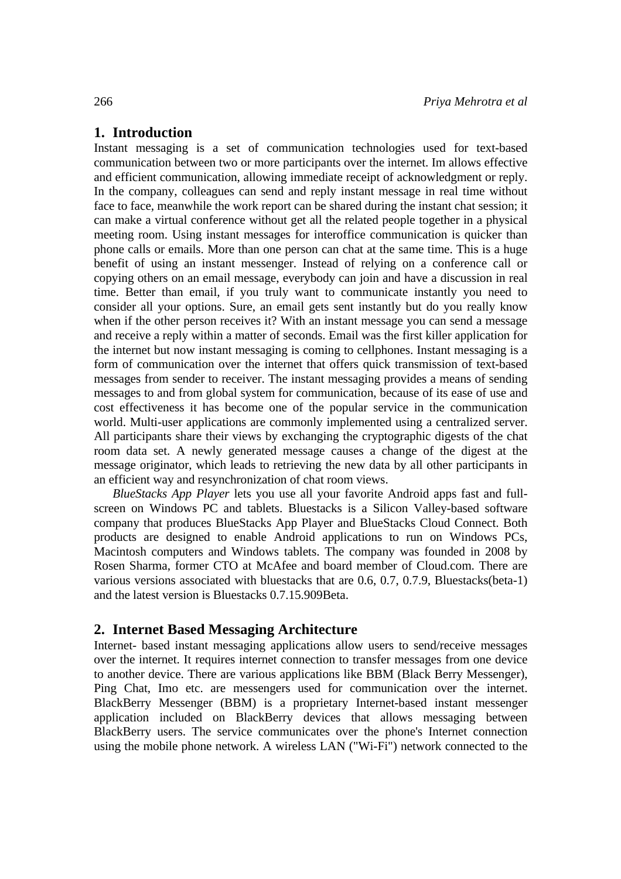### **1. Introduction**

Instant messaging is a set of communication technologies used for text-based communication between two or more participants over the internet. Im allows effective and efficient communication, allowing immediate receipt of acknowledgment or reply. In the company, colleagues can send and reply instant message in real time without face to face, meanwhile the work report can be shared during the instant chat session; it can make a virtual conference without get all the related people together in a physical meeting room. Using instant messages for interoffice communication is quicker than phone calls or emails. More than one person can chat at the same time. This is a huge benefit of using an instant messenger. Instead of relying on a conference call or copying others on an email message, everybody can join and have a discussion in real time. Better than email, if you truly want to communicate instantly you need to consider all your options. Sure, an email gets sent instantly but do you really know when if the other person receives it? With an instant message you can send a message and receive a reply within a matter of seconds. Email was the first killer application for the internet but now instant messaging is coming to cellphones. Instant messaging is a form of communication over the internet that offers quick transmission of text-based messages from sender to receiver. The instant messaging provides a means of sending messages to and from global system for communication, because of its ease of use and cost effectiveness it has become one of the popular service in the communication world. Multi-user applications are commonly implemented using a centralized server. All participants share their views by exchanging the cryptographic digests of the chat room data set. A newly generated message causes a change of the digest at the message originator, which leads to retrieving the new data by all other participants in an efficient way and resynchronization of chat room views.

*BlueStacks App Player* lets you use all your favorite Android apps fast and fullscreen on Windows PC and tablets. Bluestacks is a Silicon Valley-based software company that produces BlueStacks App Player and BlueStacks Cloud Connect. Both products are designed to enable Android applications to run on Windows PCs, Macintosh computers and Windows tablets. The company was founded in 2008 by Rosen Sharma, former CTO at McAfee and board member of Cloud.com. There are various versions associated with bluestacks that are 0.6, 0.7, 0.7.9, Bluestacks(beta-1) and the latest version is Bluestacks 0.7.15.909Beta.

### **2. Internet Based Messaging Architecture**

Internet- based instant messaging applications allow users to send/receive messages over the internet. It requires internet connection to transfer messages from one device to another device. There are various applications like BBM (Black Berry Messenger), Ping Chat, Imo etc. are messengers used for communication over the internet. BlackBerry Messenger (BBM) is a proprietary Internet-based instant messenger application included on BlackBerry devices that allows messaging between BlackBerry users. The service communicates over the phone's Internet connection using the mobile phone network. A wireless LAN ("Wi-Fi") network connected to the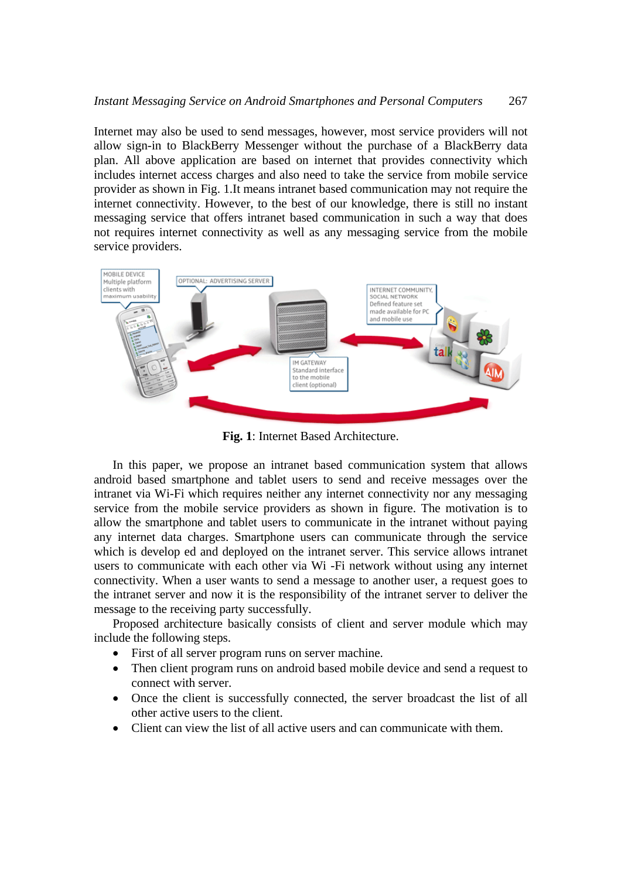#### *Instant Messaging Service on Android Smartphones and Personal Computers* 267

Internet may also be used to send messages, however, most service providers will not allow sign-in to BlackBerry Messenger without the purchase of a BlackBerry data plan. All above application are based on internet that provides connectivity which includes internet access charges and also need to take the service from mobile service provider as shown in Fig. 1.It means intranet based communication may not require the internet connectivity. However, to the best of our knowledge, there is still no instant messaging service that offers intranet based communication in such a way that does not requires internet connectivity as well as any messaging service from the mobile service providers.



**Fig. 1**: Internet Based Architecture.

In this paper, we propose an intranet based communication system that allows android based smartphone and tablet users to send and receive messages over the intranet via Wi-Fi which requires neither any internet connectivity nor any messaging service from the mobile service providers as shown in figure. The motivation is to allow the smartphone and tablet users to communicate in the intranet without paying any internet data charges. Smartphone users can communicate through the service which is develop ed and deployed on the intranet server. This service allows intranet users to communicate with each other via Wi -Fi network without using any internet connectivity. When a user wants to send a message to another user, a request goes to the intranet server and now it is the responsibility of the intranet server to deliver the message to the receiving party successfully.

Proposed architecture basically consists of client and server module which may include the following steps.

- First of all server program runs on server machine.
- Then client program runs on android based mobile device and send a request to connect with server.
- Once the client is successfully connected, the server broadcast the list of all other active users to the client.
- Client can view the list of all active users and can communicate with them.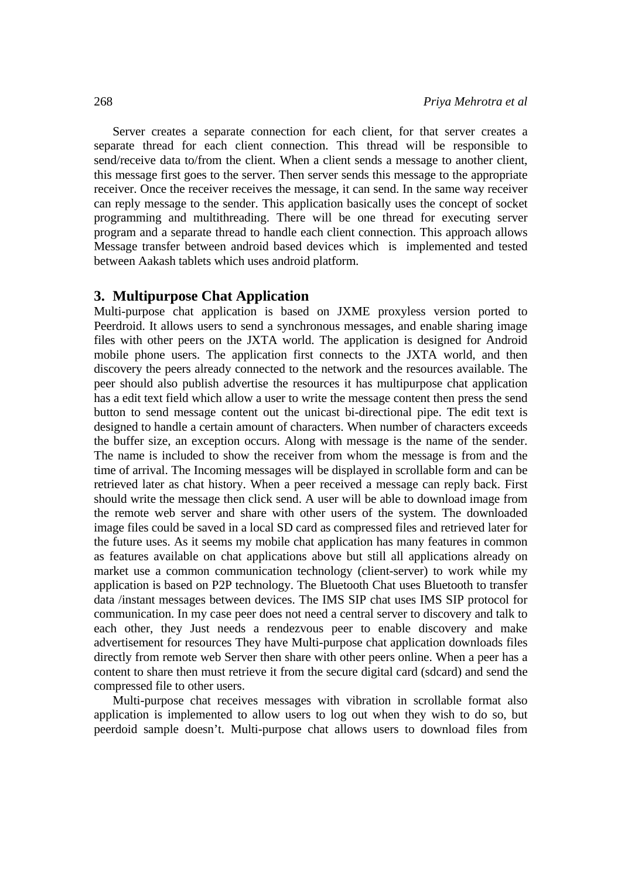Server creates a separate connection for each client, for that server creates a separate thread for each client connection. This thread will be responsible to send/receive data to/from the client. When a client sends a message to another client, this message first goes to the server. Then server sends this message to the appropriate receiver. Once the receiver receives the message, it can send. In the same way receiver can reply message to the sender. This application basically uses the concept of socket programming and multithreading. There will be one thread for executing server program and a separate thread to handle each client connection. This approach allows Message transfer between android based devices which is implemented and tested between Aakash tablets which uses android platform.

#### **3. Multipurpose Chat Application**

Multi-purpose chat application is based on JXME proxyless version ported to Peerdroid. It allows users to send a synchronous messages, and enable sharing image files with other peers on the JXTA world. The application is designed for Android mobile phone users. The application first connects to the JXTA world, and then discovery the peers already connected to the network and the resources available. The peer should also publish advertise the resources it has multipurpose chat application has a edit text field which allow a user to write the message content then press the send button to send message content out the unicast bi-directional pipe. The edit text is designed to handle a certain amount of characters. When number of characters exceeds the buffer size, an exception occurs. Along with message is the name of the sender. The name is included to show the receiver from whom the message is from and the time of arrival. The Incoming messages will be displayed in scrollable form and can be retrieved later as chat history. When a peer received a message can reply back. First should write the message then click send. A user will be able to download image from the remote web server and share with other users of the system. The downloaded image files could be saved in a local SD card as compressed files and retrieved later for the future uses. As it seems my mobile chat application has many features in common as features available on chat applications above but still all applications already on market use a common communication technology (client-server) to work while my application is based on P2P technology. The Bluetooth Chat uses Bluetooth to transfer data /instant messages between devices. The IMS SIP chat uses IMS SIP protocol for communication. In my case peer does not need a central server to discovery and talk to each other, they Just needs a rendezvous peer to enable discovery and make advertisement for resources They have Multi-purpose chat application downloads files directly from remote web Server then share with other peers online. When a peer has a content to share then must retrieve it from the secure digital card (sdcard) and send the compressed file to other users.

Multi-purpose chat receives messages with vibration in scrollable format also application is implemented to allow users to log out when they wish to do so, but peerdoid sample doesn't. Multi-purpose chat allows users to download files from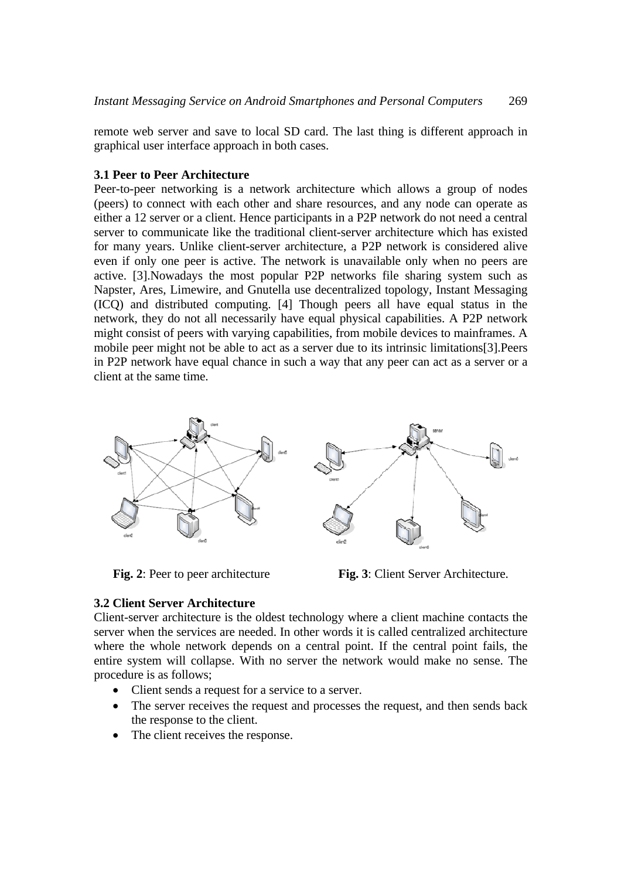remote web server and save to local SD card. The last thing is different approach in graphical user interface approach in both cases.

## **3.1 Peer to Peer Architecture**

Peer-to-peer networking is a network architecture which allows a group of nodes (peers) to connect with each other and share resources, and any node can operate as either a 12 server or a client. Hence participants in a P2P network do not need a central server to communicate like the traditional client-server architecture which has existed for many years. Unlike client-server architecture, a P2P network is considered alive even if only one peer is active. The network is unavailable only when no peers are active. [3].Nowadays the most popular P2P networks file sharing system such as Napster, Ares, Limewire, and Gnutella use decentralized topology, Instant Messaging (ICQ) and distributed computing. [4] Though peers all have equal status in the network, they do not all necessarily have equal physical capabilities. A P2P network might consist of peers with varying capabilities, from mobile devices to mainframes. A mobile peer might not be able to act as a server due to its intrinsic limitations[3].Peers in P2P network have equal chance in such a way that any peer can act as a server or a client at the same time.



**Fig. 2**: Peer to peer architecture **Fig. 3**: Client Server Architecture.

### **3.2 Client Server Architecture**

Client-server architecture is the oldest technology where a client machine contacts the server when the services are needed. In other words it is called centralized architecture where the whole network depends on a central point. If the central point fails, the entire system will collapse. With no server the network would make no sense. The procedure is as follows;

- Client sends a request for a service to a server.
- The server receives the request and processes the request, and then sends back the response to the client.
- The client receives the response.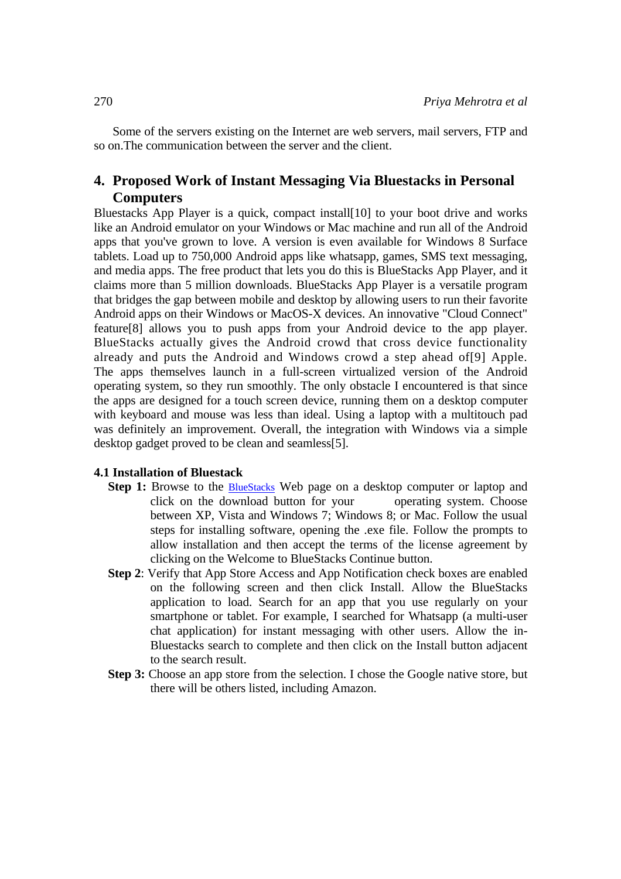Some of the servers existing on the Internet are web servers, mail servers, FTP and so on.The communication between the server and the client.

## **4. Proposed Work of Instant Messaging Via Bluestacks in Personal Computers**

Bluestacks App Player is a quick, compact install[10] to your boot drive and works like an Android emulator on your Windows or Mac machine and run all of the Android apps that you've grown to love. A version is even available for Windows 8 Surface tablets. Load up to 750,000 Android apps like whatsapp, games, SMS text messaging, and media apps. The free product that lets you do this is BlueStacks App Player, and it claims more than 5 million downloads. BlueStacks App Player is a versatile program that bridges the gap between mobile and desktop by allowing users to run their favorite Android apps on their Windows or MacOS-X devices. An innovative "Cloud Connect" feature[8] allows you to push apps from your Android device to the app player. BlueStacks actually gives the Android crowd that cross device functionality already and puts the Android and Windows crowd a step ahead of[9] Apple. The apps themselves launch in a full-screen virtualized version of the Android operating system, so they run smoothly. The only obstacle I encountered is that since the apps are designed for a touch screen device, running them on a desktop computer with keyboard and mouse was less than ideal. Using a laptop with a multitouch pad was definitely an improvement. Overall, the integration with Windows via a simple desktop gadget proved to be clean and seamless[5].

#### **4.1 Installation of Bluestack**

- **Step 1:** Browse to the **BlueStacks** Web page on a desktop computer or laptop and click on the download button for your operating system. Choose between XP, Vista and Windows 7; Windows 8; or Mac. Follow the usual steps for installing software, opening the .exe file. Follow the prompts to allow installation and then accept the terms of the license agreement by clicking on the Welcome to BlueStacks Continue button.
- **Step 2**: Verify that App Store Access and App Notification check boxes are enabled on the following screen and then click Install. Allow the BlueStacks application to load. Search for an app that you use regularly on your smartphone or tablet. For example, I searched for Whatsapp (a multi-user chat application) for instant messaging with other users. Allow the in-Bluestacks search to complete and then click on the Install button adjacent to the search result.
- **Step 3:** Choose an app store from the selection. I chose the Google native store, but there will be others listed, including Amazon.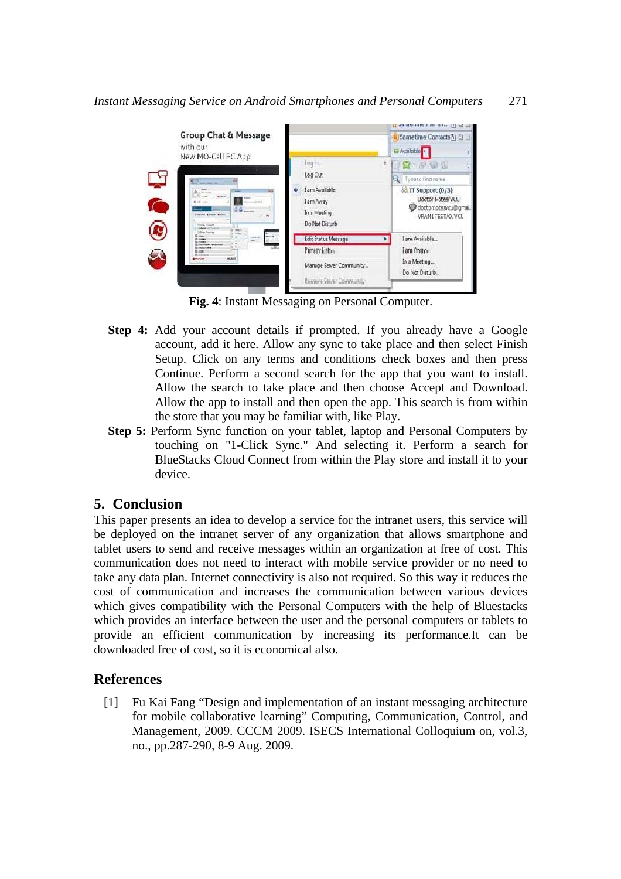

**Fig. 4**: Instant Messaging on Personal Computer.

- **Step 4:** Add your account details if prompted. If you already have a Google account, add it here. Allow any sync to take place and then select Finish Setup. Click on any terms and conditions check boxes and then press Continue. Perform a second search for the app that you want to install. Allow the search to take place and then choose Accept and Download. Allow the app to install and then open the app. This search is from within the store that you may be familiar with, like Play.
- **Step 5:** Perform Sync function on your tablet, laptop and Personal Computers by touching on "1-Click Sync." And selecting it. Perform a search for BlueStacks Cloud Connect from within the Play store and install it to your device.

## **5. Conclusion**

This paper presents an idea to develop a service for the intranet users, this service will be deployed on the intranet server of any organization that allows smartphone and tablet users to send and receive messages within an organization at free of cost. This communication does not need to interact with mobile service provider or no need to take any data plan. Internet connectivity is also not required. So this way it reduces the cost of communication and increases the communication between various devices which gives compatibility with the Personal Computers with the help of Bluestacks which provides an interface between the user and the personal computers or tablets to provide an efficient communication by increasing its performance.It can be downloaded free of cost, so it is economical also.

## **References**

[1] Fu Kai Fang "Design and implementation of an instant messaging architecture for mobile collaborative learning" Computing, Communication, Control, and Management, 2009. CCCM 2009. ISECS International Colloquium on, vol.3, no., pp.287-290, 8-9 Aug. 2009.